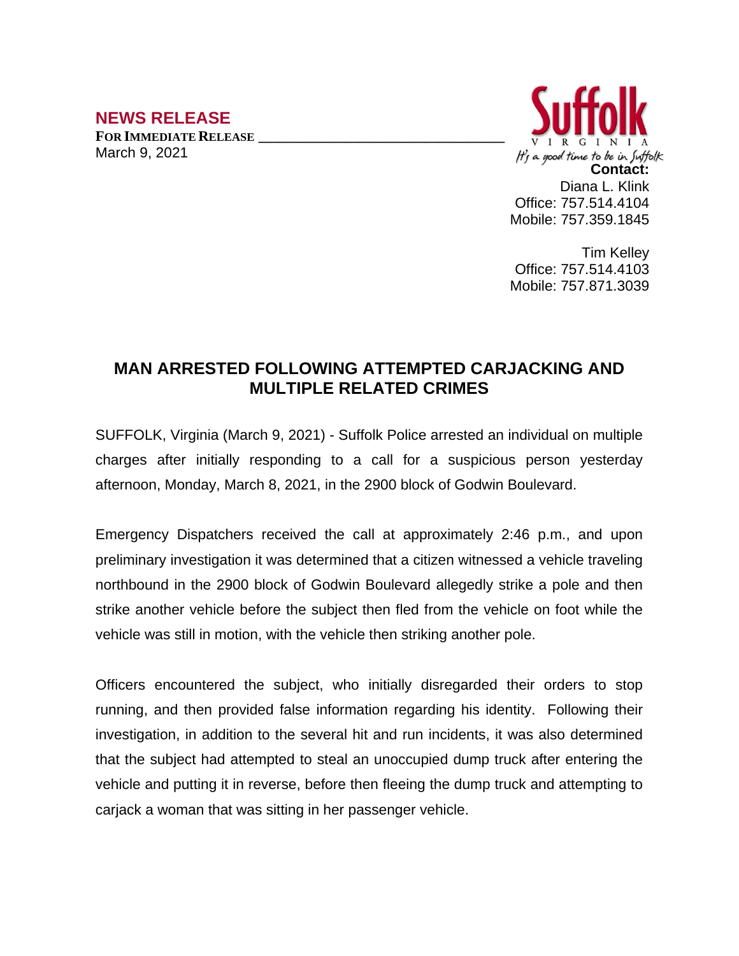## **NEWS RELEASE**

**FOR IMMEDIATE RELEASE \_\_\_\_\_\_\_\_\_\_\_\_\_\_\_\_\_\_\_\_\_\_\_\_\_\_\_\_\_\_\_\_\_\_** March 9, 2021



Office: 757.514.4104 Mobile: 757.359.1845

Tim Kelley Office: 757.514.4103 Mobile: 757.871.3039

## **MAN ARRESTED FOLLOWING ATTEMPTED CARJACKING AND MULTIPLE RELATED CRIMES**

SUFFOLK, Virginia (March 9, 2021) - Suffolk Police arrested an individual on multiple charges after initially responding to a call for a suspicious person yesterday afternoon, Monday, March 8, 2021, in the 2900 block of Godwin Boulevard.

Emergency Dispatchers received the call at approximately 2:46 p.m., and upon preliminary investigation it was determined that a citizen witnessed a vehicle traveling northbound in the 2900 block of Godwin Boulevard allegedly strike a pole and then strike another vehicle before the subject then fled from the vehicle on foot while the vehicle was still in motion, with the vehicle then striking another pole.

Officers encountered the subject, who initially disregarded their orders to stop running, and then provided false information regarding his identity. Following their investigation, in addition to the several hit and run incidents, it was also determined that the subject had attempted to steal an unoccupied dump truck after entering the vehicle and putting it in reverse, before then fleeing the dump truck and attempting to carjack a woman that was sitting in her passenger vehicle.